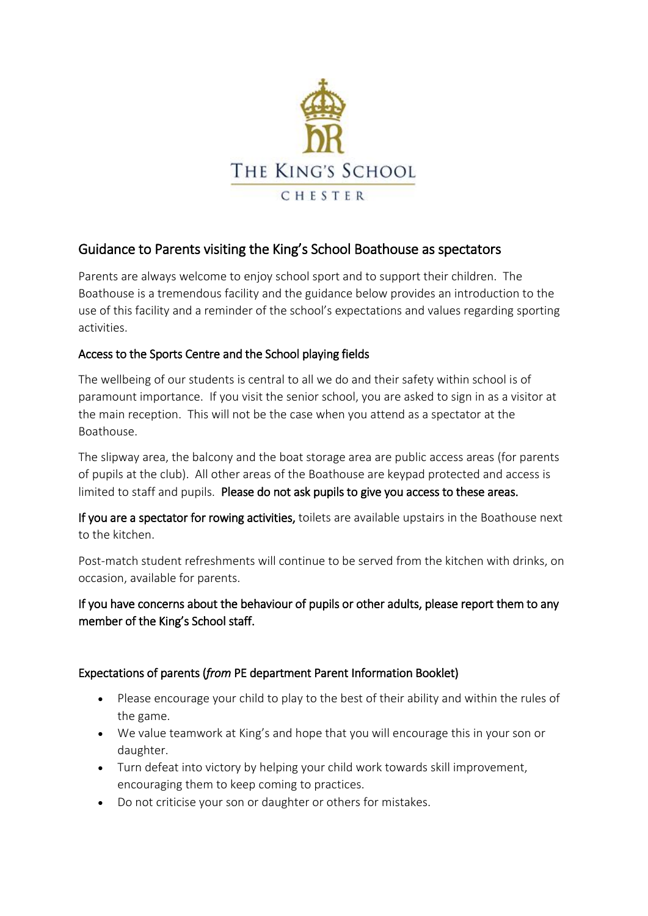

## Guidance to Parents visiting the King's School Boathouse as spectators

Parents are always welcome to enjoy school sport and to support their children. The Boathouse is a tremendous facility and the guidance below provides an introduction to the use of this facility and a reminder of the school's expectations and values regarding sporting activities.

## Access to the Sports Centre and the School playing fields

The wellbeing of our students is central to all we do and their safety within school is of paramount importance. If you visit the senior school, you are asked to sign in as a visitor at the main reception. This will not be the case when you attend as a spectator at the Boathouse.

The slipway area, the balcony and the boat storage area are public access areas (for parents of pupils at the club). All other areas of the Boathouse are keypad protected and access is limited to staff and pupils. Please do not ask pupils to give you access to these areas.

If you are a spectator for rowing activities, toilets are available upstairs in the Boathouse next to the kitchen.

Post-match student refreshments will continue to be served from the kitchen with drinks, on occasion, available for parents.

If you have concerns about the behaviour of pupils or other adults, please report them to any member of the King's School staff.

## Expectations of parents (*from* PE department Parent Information Booklet)

- Please encourage your child to play to the best of their ability and within the rules of the game.
- We value teamwork at King's and hope that you will encourage this in your son or daughter.
- Turn defeat into victory by helping your child work towards skill improvement, encouraging them to keep coming to practices.
- Do not criticise your son or daughter or others for mistakes.